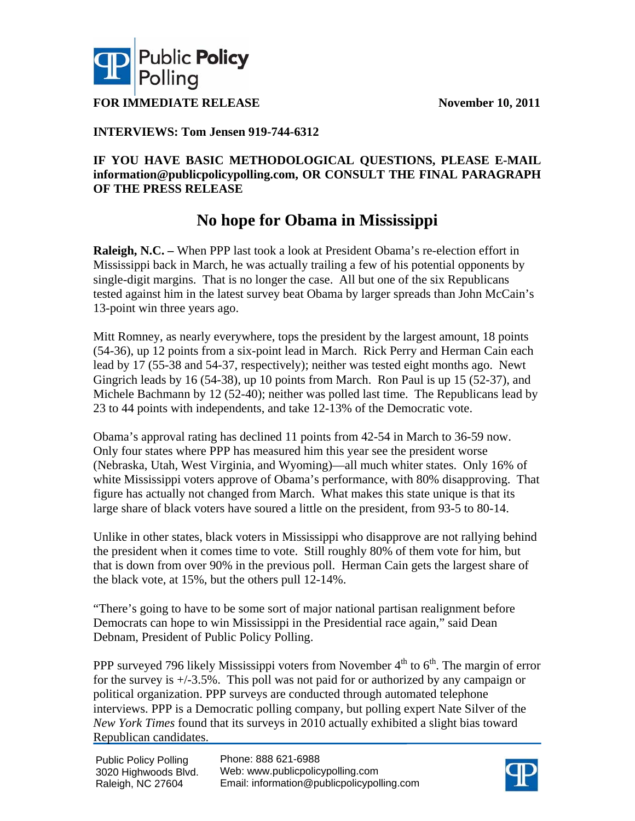



**FOR IMMEDIATE RELEASE** November 10, 2011

## **INTERVIEWS: Tom Jensen 919-744-6312**

### **IF YOU HAVE BASIC METHODOLOGICAL QUESTIONS, PLEASE E-MAIL information@publicpolicypolling.com, OR CONSULT THE FINAL PARAGRAPH OF THE PRESS RELEASE**

## **No hope for Obama in Mississippi**

**Raleigh, N.C. –** When PPP last took a look at President Obama's re-election effort in Mississippi back in March, he was actually trailing a few of his potential opponents by single-digit margins. That is no longer the case. All but one of the six Republicans tested against him in the latest survey beat Obama by larger spreads than John McCain's 13-point win three years ago.

Mitt Romney, as nearly everywhere, tops the president by the largest amount, 18 points (54-36), up 12 points from a six-point lead in March. Rick Perry and Herman Cain each lead by 17 (55-38 and 54-37, respectively); neither was tested eight months ago. Newt Gingrich leads by 16 (54-38), up 10 points from March. Ron Paul is up 15 (52-37), and Michele Bachmann by 12 (52-40); neither was polled last time. The Republicans lead by 23 to 44 points with independents, and take 12-13% of the Democratic vote.

Obama's approval rating has declined 11 points from 42-54 in March to 36-59 now. Only four states where PPP has measured him this year see the president worse (Nebraska, Utah, West Virginia, and Wyoming)—all much whiter states. Only 16% of white Mississippi voters approve of Obama's performance, with 80% disapproving. That figure has actually not changed from March. What makes this state unique is that its large share of black voters have soured a little on the president, from 93-5 to 80-14.

Unlike in other states, black voters in Mississippi who disapprove are not rallying behind the president when it comes time to vote. Still roughly 80% of them vote for him, but that is down from over 90% in the previous poll. Herman Cain gets the largest share of the black vote, at 15%, but the others pull 12-14%.

"There's going to have to be some sort of major national partisan realignment before Democrats can hope to win Mississippi in the Presidential race again," said Dean Debnam, President of Public Policy Polling.

PPP surveyed 796 likely Mississippi voters from November  $4<sup>th</sup>$  to  $6<sup>th</sup>$ . The margin of error for the survey is +/-3.5%. This poll was not paid for or authorized by any campaign or political organization. PPP surveys are conducted through automated telephone interviews. PPP is a Democratic polling company, but polling expert Nate Silver of the *New York Times* found that its surveys in 2010 actually exhibited a slight bias toward Republican candidates.

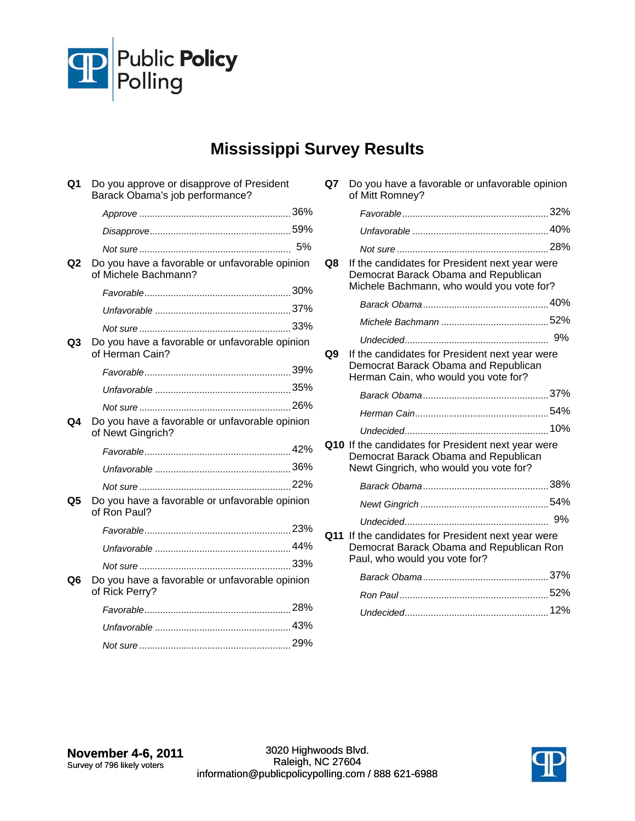

# **Mississippi Survey Results**

| Q1 | Do you approve or disapprove of President<br>Barack Obama's job performance? |    |
|----|------------------------------------------------------------------------------|----|
|    |                                                                              |    |
|    |                                                                              |    |
|    |                                                                              | 5% |
| Q2 | Do you have a favorable or unfavorable opinion<br>of Michele Bachmann?       |    |
|    |                                                                              |    |
|    |                                                                              |    |
|    |                                                                              |    |
| Q3 | Do you have a favorable or unfavorable opinion<br>of Herman Cain?            |    |
|    |                                                                              |    |
|    |                                                                              |    |
|    |                                                                              |    |
| Q4 | Do you have a favorable or unfavorable opinion<br>of Newt Gingrich?          |    |
|    |                                                                              |    |
|    |                                                                              |    |
|    |                                                                              |    |
| Q5 | Do you have a favorable or unfavorable opinion<br>of Ron Paul?               |    |
|    |                                                                              |    |
|    |                                                                              |    |
|    |                                                                              |    |
| Q6 | Do you have a favorable or unfavorable opinion<br>of Rick Perry?             |    |
|    |                                                                              |    |
|    |                                                                              |    |
|    |                                                                              |    |
|    |                                                                              |    |

| Q7 Do you have a favorable or unfavorable opinion |
|---------------------------------------------------|
| of Mitt Romney?                                   |

|    |                                                                                                                                      | 32% |
|----|--------------------------------------------------------------------------------------------------------------------------------------|-----|
|    |                                                                                                                                      |     |
|    |                                                                                                                                      |     |
| Q8 | If the candidates for President next year were<br>Democrat Barack Obama and Republican<br>Michele Bachmann, who would you vote for?  |     |
|    |                                                                                                                                      |     |
|    |                                                                                                                                      |     |
|    |                                                                                                                                      |     |
| Q9 | If the candidates for President next year were<br>Democrat Barack Obama and Republican<br>Herman Cain, who would you vote for?       |     |
|    |                                                                                                                                      |     |
|    |                                                                                                                                      |     |
|    |                                                                                                                                      | 10% |
|    | Q10 If the candidates for President next year were<br>Democrat Barack Obama and Republican<br>Newt Gingrich, who would you vote for? |     |
|    |                                                                                                                                      |     |
|    |                                                                                                                                      |     |
|    |                                                                                                                                      | 9%  |
|    | Q11 If the candidates for President next year were<br>Democrat Barack Obama and Republican Ron<br>Paul, who would you vote for?      |     |
|    |                                                                                                                                      |     |
|    |                                                                                                                                      |     |
|    |                                                                                                                                      |     |

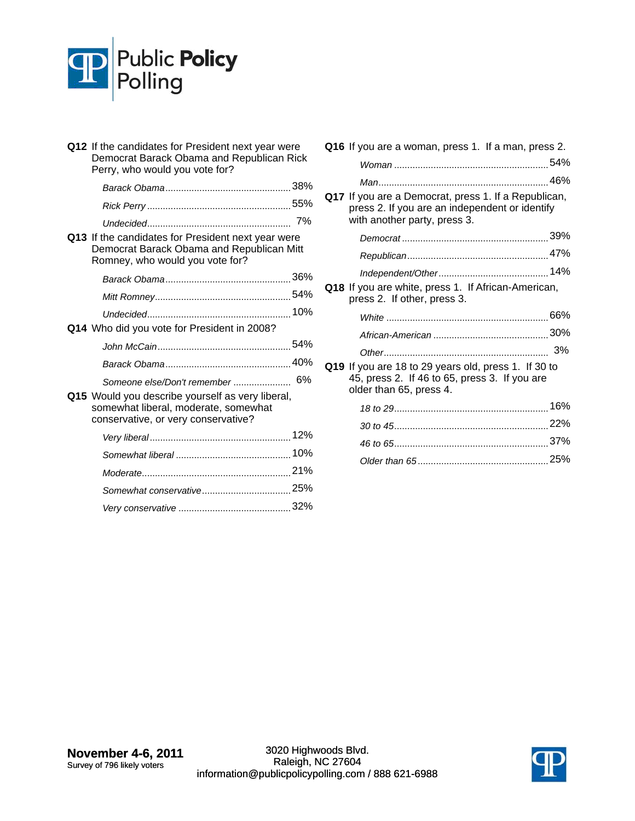

| Q12 If the candidates for President next year were<br>Democrat Barack Obama and Republican Rick<br>Perry, who would you vote for?  |  |
|------------------------------------------------------------------------------------------------------------------------------------|--|
|                                                                                                                                    |  |
|                                                                                                                                    |  |
| Q13 If the candidates for President next year were<br>Democrat Barack Obama and Republican Mitt<br>Romney, who would you vote for? |  |
|                                                                                                                                    |  |
|                                                                                                                                    |  |
|                                                                                                                                    |  |
| Q14 Who did you vote for President in 2008?                                                                                        |  |
|                                                                                                                                    |  |
|                                                                                                                                    |  |
| Someone else/Don't remember  6%                                                                                                    |  |
| Q15 Would you describe yourself as very liberal,<br>somewhat liberal, moderate, somewhat<br>conservative, or very conservative?    |  |
|                                                                                                                                    |  |
|                                                                                                                                    |  |
|                                                                                                                                    |  |
|                                                                                                                                    |  |
|                                                                                                                                    |  |

| Q16 If you are a woman, press 1. If a man, press 2.                                                                                    |  |
|----------------------------------------------------------------------------------------------------------------------------------------|--|
|                                                                                                                                        |  |
|                                                                                                                                        |  |
| Q17 If you are a Democrat, press 1. If a Republican,<br>press 2. If you are an independent or identify<br>with another party, press 3. |  |
|                                                                                                                                        |  |
|                                                                                                                                        |  |
|                                                                                                                                        |  |
| Q18 If you are white, press 1. If African-American,<br>press 2. If other, press 3.                                                     |  |
|                                                                                                                                        |  |
|                                                                                                                                        |  |
|                                                                                                                                        |  |
| Q19 If you are 18 to 29 years old, press 1. If 30 to<br>45, press 2. If 46 to 65, press 3. If you are<br>older than 65, press 4.       |  |
|                                                                                                                                        |  |
|                                                                                                                                        |  |
|                                                                                                                                        |  |
|                                                                                                                                        |  |

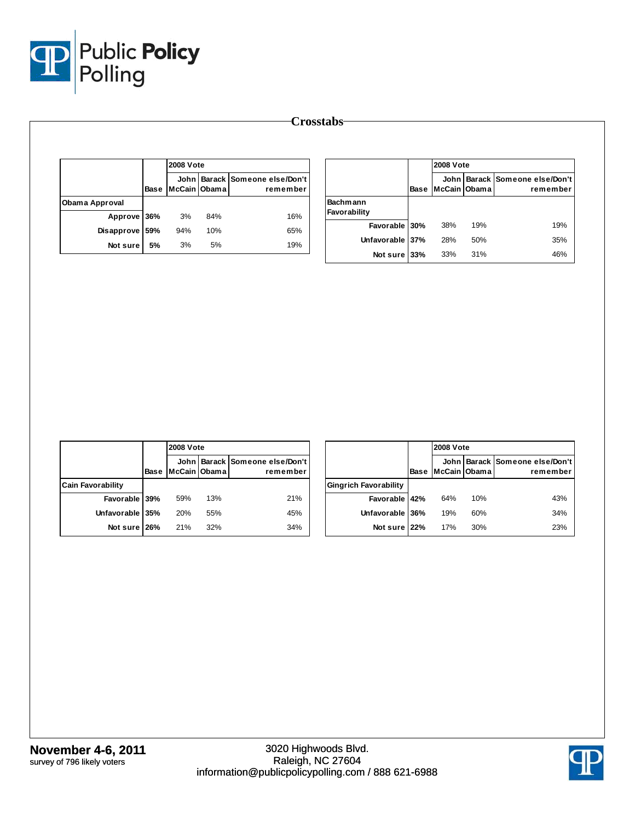

|                |             | <b>2008 Vote</b> |     |                                            |  |  |  |  |
|----------------|-------------|------------------|-----|--------------------------------------------|--|--|--|--|
|                | <b>Base</b> | McCain Obama     |     | John Barack Someone else/Don't<br>remember |  |  |  |  |
| Obama Approval |             |                  |     |                                            |  |  |  |  |
| Approve 36%    |             | 3%               | 84% | 16%                                        |  |  |  |  |
| Disapprove     | 59%         | 94%              | 10% | 65%                                        |  |  |  |  |
| Not sure       | 5%          | 3%               | 5%  | 19%                                        |  |  |  |  |

|                                 |             | <b>2008 Vote</b>         |     |                                       |  |
|---------------------------------|-------------|--------------------------|-----|---------------------------------------|--|
|                                 | <b>Base</b> | John l<br>McCain   Obama |     | Barack Someone else/Don't<br>remember |  |
| <b>Bachmann</b><br>Favorability |             |                          |     |                                       |  |
| Favorable 30%                   |             | 38%                      | 19% | 19%                                   |  |
| Unfavorable 37%                 |             | 28%                      | 50% | 35%                                   |  |
| Not sure l                      | 33%         | 33%                      | 31% | 46%                                   |  |

|                          |      | <b>2008 Vote</b> |     |                                            |
|--------------------------|------|------------------|-----|--------------------------------------------|
|                          | Base | McCain IObama I  |     | John Barack Someone else/Don't<br>remember |
| <b>Cain Favorability</b> |      |                  |     |                                            |
| Favorable 39%            |      | 59%              | 13% | 21%                                        |
| Unfavorable 35%          |      | 20%              | 55% | 45%                                        |
| Not sure 26%             |      | 21%              | 32% | 34%                                        |

|                              |      |              | <b>2008 Vote</b> |                                            |  |  |
|------------------------------|------|--------------|------------------|--------------------------------------------|--|--|
|                              | Base | McCain Obama |                  | John Barack Someone else/Don't<br>remember |  |  |
| <b>Gingrich Favorability</b> |      |              |                  |                                            |  |  |
| Favorable 42%                |      | 64%          | 10%              | 43%                                        |  |  |
| Unfavorable 36%              |      | 19%          | 60%              | 34%                                        |  |  |
| Not sure 22%                 |      | 17%          | 30%              | 23%                                        |  |  |

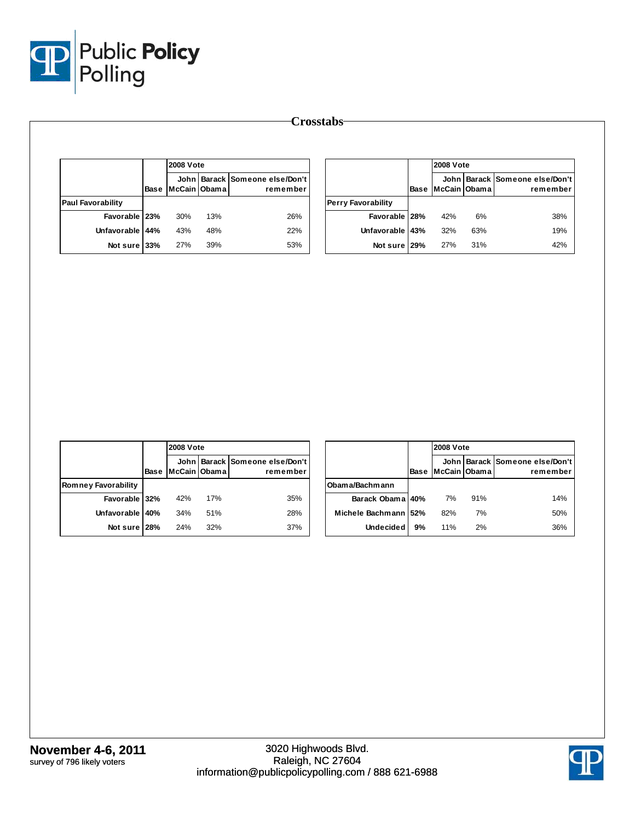

|                          |      |                | <b>2008 Vote</b> |                                                |  |
|--------------------------|------|----------------|------------------|------------------------------------------------|--|
|                          | Base | lMcCain IObama |                  | John   Barack   Someone else/Don't<br>remember |  |
| <b>Paul Favorability</b> |      |                |                  |                                                |  |
| Favorable   23%          |      | 30%            | 13%              | 26%                                            |  |
| Unfavorable 44%          |      | 43%            | 48%              | 22%                                            |  |
| Not sure 33%             |      | 27%            | 39%              | 53%                                            |  |

|                           |      | <b>2008 Vote</b> |     |                                            |
|---------------------------|------|------------------|-----|--------------------------------------------|
|                           | Base | McCain Obama     |     | John Barack Someone else/Don't<br>remember |
| <b>Perry Favorability</b> |      |                  |     |                                            |
| Favorable   28%           |      | 42%              | 6%  | 38%                                        |
| Unfavorable 43%           |      | 32%              | 63% | 19%                                        |
| Not sure 29%              |      | 27%              | 31% | 42%                                        |

|                     |      |               | <b>2008 Vote</b> |                                            |  |  |
|---------------------|------|---------------|------------------|--------------------------------------------|--|--|
|                     | Base | McCain IObama |                  | John Barack Someone else/Don't<br>remember |  |  |
| Romney Favorability |      |               |                  |                                            |  |  |
| Favorable 32%       |      | 42%           | 17%              | 35%                                        |  |  |
| <b>Unfavorable</b>  | 40%  | 34%           | 51%              | 28%                                        |  |  |
| Not sure 28%        |      | 24%           | 32%              | 37%                                        |  |  |

|                      |             |              | <b>2008 Vote</b> |                                            |  |  |  |  |  |
|----------------------|-------------|--------------|------------------|--------------------------------------------|--|--|--|--|--|
|                      | <b>Base</b> | McCain Obama |                  | John Barack Someone else/Don't<br>remember |  |  |  |  |  |
| Obama/Bachmann       |             |              |                  |                                            |  |  |  |  |  |
| Barack Obama 40%     |             | 7%           | 91%              | 14%                                        |  |  |  |  |  |
| Michele Bachmann 52% |             | 82%          | 7%               | 50%                                        |  |  |  |  |  |
| <b>Undecided</b>     | 9%          | 11%          | 2%               | 36%                                        |  |  |  |  |  |

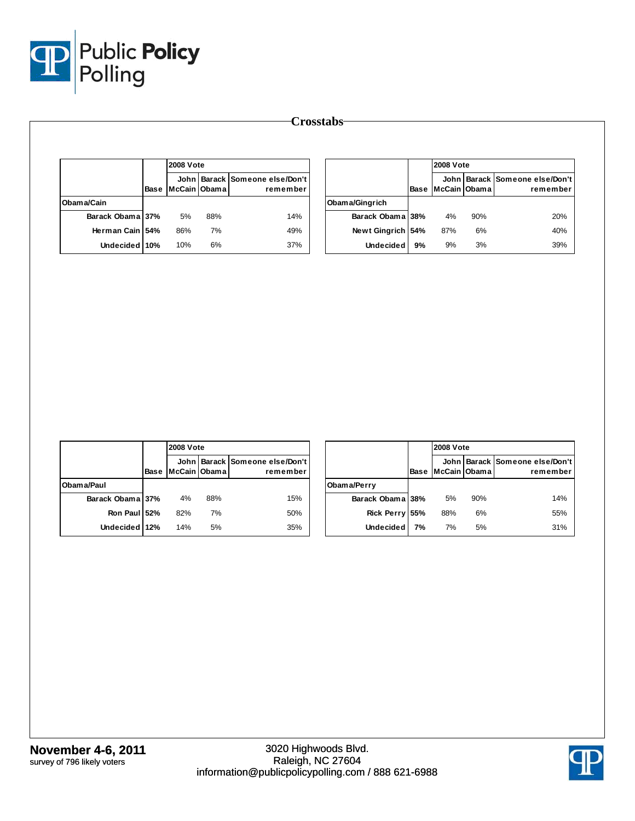

|                  |      | <b>2008 Vote</b> |     |                                            |
|------------------|------|------------------|-----|--------------------------------------------|
|                  | Base | McCain Obama     |     | John Barack Someone else/Don't<br>remember |
| Obama/Cain       |      |                  |     |                                            |
| Barack Obama 37% |      | 5%               | 88% | 14%                                        |
| Herman Cain 54%  |      | 86%              | 7%  | 49%                                        |
| Undecided 10%    |      | 10%              | 6%  | 37%                                        |

|                  |      |              | <b>2008 Vote</b> |                                            |  |  |  |  |
|------------------|------|--------------|------------------|--------------------------------------------|--|--|--|--|
|                  | Base | McCain Obama |                  | John Barack Someone else/Don't<br>remember |  |  |  |  |
| Obama/Gingrich   |      |              |                  |                                            |  |  |  |  |
| Barack Obama 38% |      | 4%           | 90%              | 20%                                        |  |  |  |  |
| Newt Gingrich    | 54%  | 87%          | 6%               | 40%                                        |  |  |  |  |
| <b>Undecided</b> | 9%   | 9%           | 3%               | 39%                                        |  |  |  |  |

|                  |      | <b>2008 Vote</b> |     |                                                |
|------------------|------|------------------|-----|------------------------------------------------|
|                  | Base | McCain Obama     |     | John   Barack   Someone else/Don't<br>remember |
| Obama/Paul       |      |                  |     |                                                |
| Barack Obama 37% |      | 4%               | 88% | 15%                                            |
| Ron Paul 52%     |      | 82%              | 7%  | 50%                                            |
| Undecided 12%    |      | 14%              | 5%  | 35%                                            |

|                  |      |              | <b>2008 Vote</b> |                                            |  |  |  |  |  |
|------------------|------|--------------|------------------|--------------------------------------------|--|--|--|--|--|
|                  | Base | McCain Obama |                  | John Barack Someone else/Don't<br>remember |  |  |  |  |  |
| Obama/Perry      |      |              |                  |                                            |  |  |  |  |  |
| Barack Obama 38% |      | 5%           | 90%              | 14%                                        |  |  |  |  |  |
| Rick Perry 55%   |      | 88%          | 6%               | 55%                                        |  |  |  |  |  |
| <b>Undecided</b> | 7%   | 7%           | 5%               | 31%                                        |  |  |  |  |  |

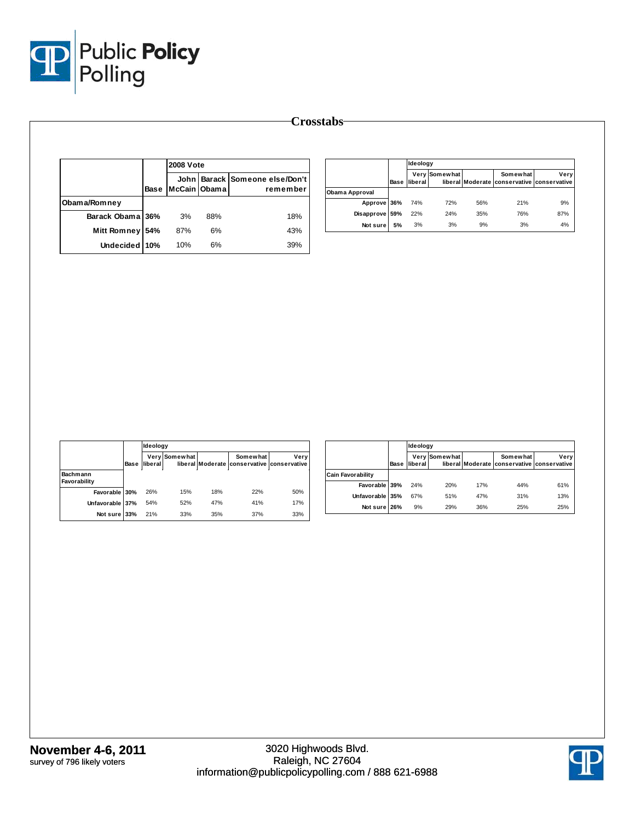

| <b>Crosstabs</b> |  |
|------------------|--|
|------------------|--|

|                  |      | <b>2008 Vote</b> |     |                                            |  |  |
|------------------|------|------------------|-----|--------------------------------------------|--|--|
|                  | Base | McCain Obama     |     | John Barack Someone else/Don't<br>remember |  |  |
| Obama/Romney     |      |                  |     |                                            |  |  |
| Barack Obama 36% |      | 3%               | 88% | 18%                                        |  |  |
| Mitt Romney      | 54%  | 87%              | 6%  | 43%                                        |  |  |
| Undecided 10%    |      | 10%              | 6%  | 39%                                        |  |  |

|                |      | Ideology        |               |     |                                                        |      |
|----------------|------|-----------------|---------------|-----|--------------------------------------------------------|------|
|                | Base | <b>lliberal</b> | Very Somewhat |     | Somewhat<br>liberal Moderate conservative conservative | Very |
| Obama Approval |      |                 |               |     |                                                        |      |
| Approve 36%    |      | 74%             | 72%           | 56% | 21%                                                    | 9%   |
| Disapprove     | 59%  | 22%             | 24%           | 35% | 76%                                                    | 87%  |
| Not sure       | 5%   | 3%              | 3%            | 9%  | 3%                                                     | 4%   |

|                          |      |         | Ideology      |     |                                                        |      |  |  |  |  |
|--------------------------|------|---------|---------------|-----|--------------------------------------------------------|------|--|--|--|--|
|                          | Base | liberal | Very Somewhat |     | Somewhat<br>liberal Moderate conservative conservative | Very |  |  |  |  |
| Bachmann<br>Favorability |      |         |               |     |                                                        |      |  |  |  |  |
| Favorable 30%            |      | 26%     | 15%           | 18% | 22%                                                    | 50%  |  |  |  |  |
| Unfavorable 37%          |      | 54%     | 52%           | 47% | 41%                                                    | 17%  |  |  |  |  |
| Not sure 33%             |      | 21%     | 33%           | 35% | 37%                                                    | 33%  |  |  |  |  |

|                          |      |         | Ideology      |     |                                                        |      |  |  |  |  |
|--------------------------|------|---------|---------------|-----|--------------------------------------------------------|------|--|--|--|--|
|                          | Base | liberal | Very Somewhat |     | Somewhat<br>liberal Moderate conservative conservative | Verv |  |  |  |  |
| <b>Cain Favorability</b> |      |         |               |     |                                                        |      |  |  |  |  |
| Favorable 39%            |      | 24%     | 20%           | 17% | 44%                                                    | 61%  |  |  |  |  |
| Unfavorable 35%          |      | 67%     | 51%           | 47% | 31%                                                    | 13%  |  |  |  |  |
| Not sure                 | 26%  | 9%      | 29%           | 36% | 25%                                                    | 25%  |  |  |  |  |

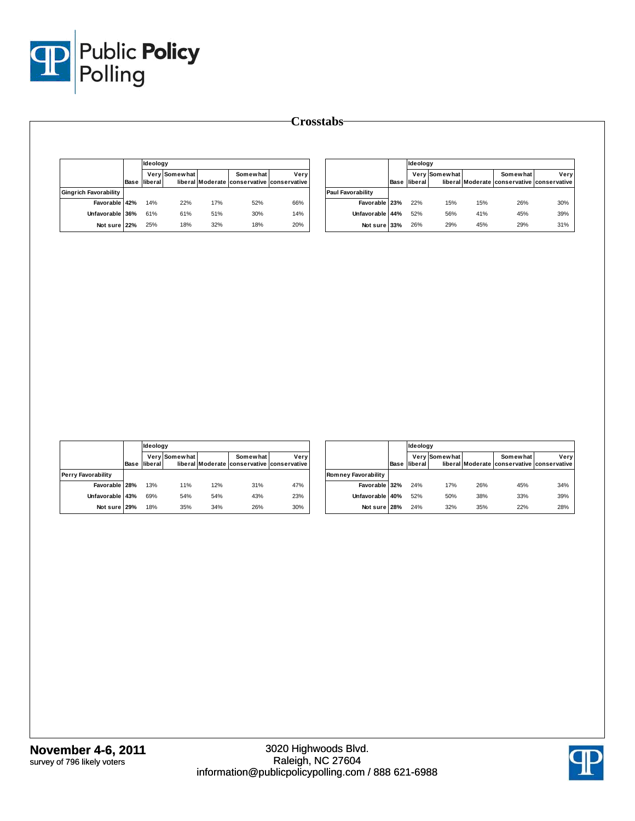

|                              | Ideology            |               |     |                                                        |      |                          | Ideology            |               |     |                                                        |      |
|------------------------------|---------------------|---------------|-----|--------------------------------------------------------|------|--------------------------|---------------------|---------------|-----|--------------------------------------------------------|------|
|                              | <b>Base liberal</b> | Very Somewhat |     | Somewhat<br>liberal Moderate conservative conservative | Very |                          | <b>Base liberal</b> | Very Somewhat |     | Somewhat<br>liberal Moderate conservative conservative | Very |
| <b>Gingrich Favorability</b> |                     |               |     |                                                        |      | <b>Paul Favorability</b> |                     |               |     |                                                        |      |
| Favorable 42%                | 14%                 | 22%           | 17% | 52%                                                    | 66%  | Favorable 23%            | 22%                 | 15%           | 15% | 26%                                                    | 30%  |
| Unfavorable 36%              | 61%                 | 61%           | 51% | 30%                                                    | 14%  | Unfavorable 44%          | 52%                 | 56%           | 41% | 45%                                                    | 39%  |
| Not sure 22%                 | 25%                 | 18%           | 32% | 18%                                                    | 20%  | Not sure 33%             | 26%                 | 29%           | 45% | 29%                                                    | 31%  |

|                           |      | <b>Ideology</b> |               |     |                                                        |      |  |  |  |
|---------------------------|------|-----------------|---------------|-----|--------------------------------------------------------|------|--|--|--|
|                           | Base | liberal         | Very Somewhat |     | Somewhat<br>liberal Moderate conservative conservative | Very |  |  |  |
| <b>Perry Favorability</b> |      |                 |               |     |                                                        |      |  |  |  |
| Favorable 28%             |      | 13%             | 11%           | 12% | 31%                                                    | 47%  |  |  |  |
| Unfavorable 43%           |      | 69%             | 54%           | 54% | 43%                                                    | 23%  |  |  |  |
| Not sure 29%              |      | 18%             | 35%           | 34% | 26%                                                    | 30%  |  |  |  |

|                            |      | Ideology |               |     |                                                        |      |
|----------------------------|------|----------|---------------|-----|--------------------------------------------------------|------|
|                            | Base | liberal  | Very Somewhat |     | Somewhat<br>liberal Moderate conservative conservative | Very |
| <b>Romney Favorability</b> |      |          |               |     |                                                        |      |
| Favorable 32%              |      | 24%      | 17%           | 26% | 45%                                                    | 34%  |
| Unfavorable 40%            |      | 52%      | 50%           | 38% | 33%                                                    | 39%  |
| Not sure 28%               |      | 24%      | 32%           | 35% | 22%                                                    | 28%  |

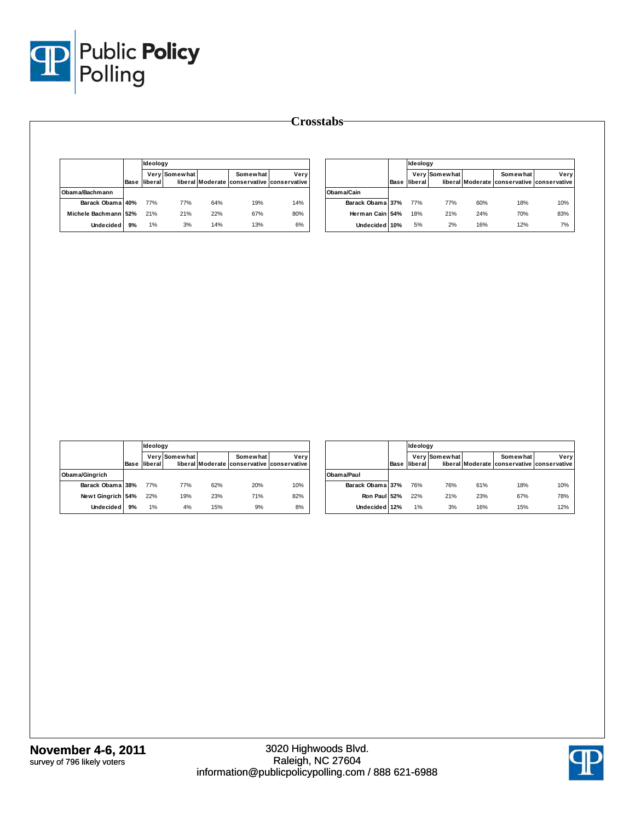

|                      |      | Ideology        |               |     |                                                        |      |
|----------------------|------|-----------------|---------------|-----|--------------------------------------------------------|------|
|                      | Base | <b>Iliberal</b> | Very Somewhat |     | Somewhat<br>liberal Moderate conservative conservative | Verv |
| Obam a/Bachm ann     |      |                 |               |     |                                                        |      |
| Barack Obama 40%     |      | 77%             | 77%           | 64% | 19%                                                    | 14%  |
| Michele Bachmann 52% |      | 21%             | 21%           | 22% | 67%                                                    | 80%  |
| <b>Undecided</b>     | 9%   | 1%              | 3%            | 14% | 13%                                                    | 6%   |

|                  |      | Ideoloav |               |     |                                                        |      |
|------------------|------|----------|---------------|-----|--------------------------------------------------------|------|
|                  | Base | liberal  | Very Somewhat |     | Somewhat<br>liberal Moderate conservative conservative | Very |
| Obama/Cain       |      |          |               |     |                                                        |      |
| Barack Obama 37% |      | 77%      | 77%           | 60% | 18%                                                    | 10%  |
| Herman Cain 54%  |      | 18%      | 21%           | 24% | 70%                                                    | 83%  |
| Undecided 10%    |      | 5%       | 2%            | 16% | 12%                                                    | 7%   |

|                   |      |         |               |     |                                                        |      |  | Ideology |  |  |  |  |
|-------------------|------|---------|---------------|-----|--------------------------------------------------------|------|--|----------|--|--|--|--|
|                   | Base | liberal | Very Somewhat |     | Somewhat<br>liberal Moderate conservative conservative | Very |  |          |  |  |  |  |
| Obama/Gingrich    |      |         |               |     |                                                        |      |  |          |  |  |  |  |
| Barack Obama 38%  |      | 77%     | 77%           | 62% | 20%                                                    | 10%  |  |          |  |  |  |  |
| Newt Gingrich 54% |      | 22%     | 19%           | 23% | 71%                                                    | 82%  |  |          |  |  |  |  |
| <b>Undecided</b>  | 9%   | 1%      | 4%            | 15% | 9%                                                     | 8%   |  |          |  |  |  |  |

|                  |      |         | Ideology      |     |                                                        |      |  |
|------------------|------|---------|---------------|-----|--------------------------------------------------------|------|--|
|                  | Base | liberal | Very Somewhat |     | Somewhat<br>liberal Moderate conservative conservative | Very |  |
| Obam a/Paul      |      |         |               |     |                                                        |      |  |
| Barack Obama 37% |      | 76%     | 76%           | 61% | 18%                                                    | 10%  |  |
| Ron Paul 52%     |      | 22%     | 21%           | 23% | 67%                                                    | 78%  |  |
| Undecided 12%    |      | 1%      | 3%            | 16% | 15%                                                    | 12%  |  |

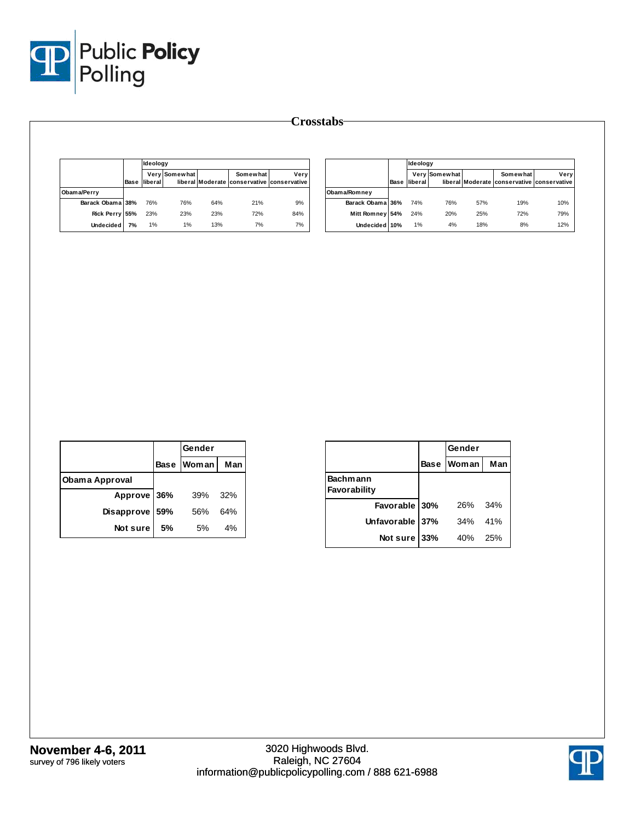

|                  |      | Ideoloav |               |     |                                                        |      |
|------------------|------|----------|---------------|-----|--------------------------------------------------------|------|
|                  | Base | liberal  | Very Somewhat |     | Somewhat<br>liberal Moderate conservative conservative | Verv |
| Obama/Perry      |      |          |               |     |                                                        |      |
| Barack Obama 38% |      | 76%      | 76%           | 64% | 21%                                                    | 9%   |
| Rick Perry 55%   |      | 23%      | 23%           | 23% | <b>72%</b>                                             | 84%  |
| <b>Undecided</b> | 7%   | 1%       | 1%            | 13% | 7%                                                     | 7%   |

|                  |      | Ideology |               |     |                                                        |      |
|------------------|------|----------|---------------|-----|--------------------------------------------------------|------|
|                  | Base | liberal  | Very Somewhat |     | Somewhat<br>liberal Moderate conservative conservative | Very |
| Obama/Romney     |      |          |               |     |                                                        |      |
| Barack Obama 36% |      | 74%      | 76%           | 57% | 19%                                                    | 10%  |
| Mitt Romney 54%  |      | 24%      | 20%           | 25% | 72%                                                    | 79%  |
| Undecided 10%    |      | 1%       | 4%            | 18% | 8%                                                     | 12%  |

|                |     | Gender     |     |
|----------------|-----|------------|-----|
|                |     | Base Woman | Man |
| Obama Approval |     |            |     |
| Approve 36%    |     | 39%        | 32% |
| Disapprove     | 59% | 56%        | 64% |
| Not sure       | 5%  | 5%         | 4%  |

|                          |             | Gender       |     |
|--------------------------|-------------|--------------|-----|
|                          | <b>Base</b> | <b>Woman</b> | Man |
| Bachmann<br>Favorability |             |              |     |
| Favorable 30%            |             | 26%          | 34% |
| Unfavorable 37%          |             | 34%          | 41% |
| Not sure                 | 33%         | 40%          | 25% |

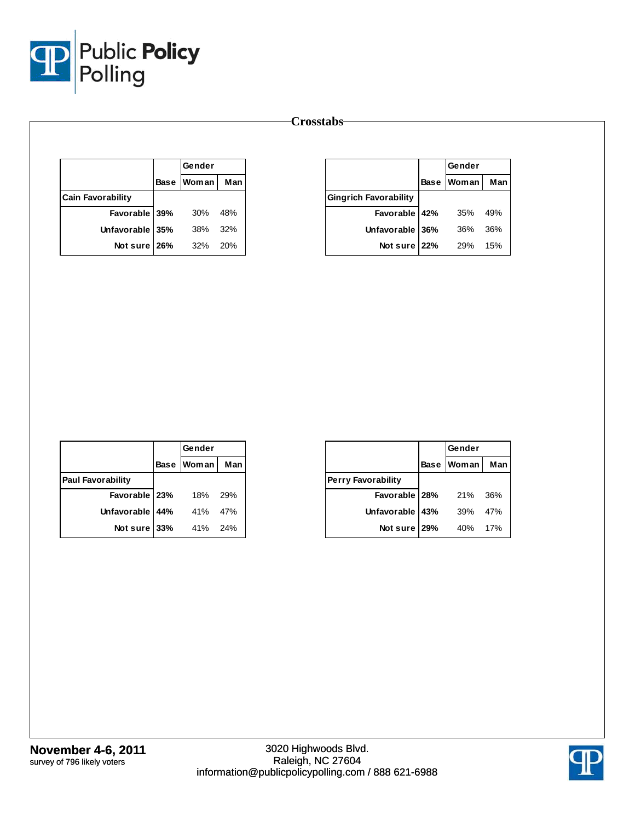

|                          | Gender     |            |
|--------------------------|------------|------------|
|                          | Base Woman | <b>Man</b> |
| <b>Cain Favorability</b> |            |            |
| Favorable 39%            | 30%        | 48%        |
| Unfavorable 35%          | 38%        | 32%        |
| Not sure 26%             | -32%       | 20%        |

|                              |             | Gender       |     |
|------------------------------|-------------|--------------|-----|
|                              | <b>Base</b> | <b>Woman</b> | Man |
| <b>Gingrich Favorability</b> |             |              |     |
| Favorable 42%                |             | 35%          | 49% |
| Unfavorable 36%              |             | 36%          | 36% |
| Not sure 22%                 |             | <b>29%</b>   | 15% |

|                          |     | Gender       |     |
|--------------------------|-----|--------------|-----|
|                          |     | Base   Woman | Man |
| <b>Paul Favorability</b> |     |              |     |
| Favorable   23%          |     | 18%          | 29% |
| Unfavorable 44%          |     | 41%          | 47% |
| Not sure                 | 33% | 41%          | 24% |

|                           |             | Gender |     |
|---------------------------|-------------|--------|-----|
|                           | <b>Base</b> | Woman  | Man |
| <b>Perry Favorability</b> |             |        |     |
| Favorable 28%             |             | 21%    | 36% |
| Unfavorable   43%         |             | 39%    | 47% |
| Not sure                  | 129%        | 40%    | 17% |

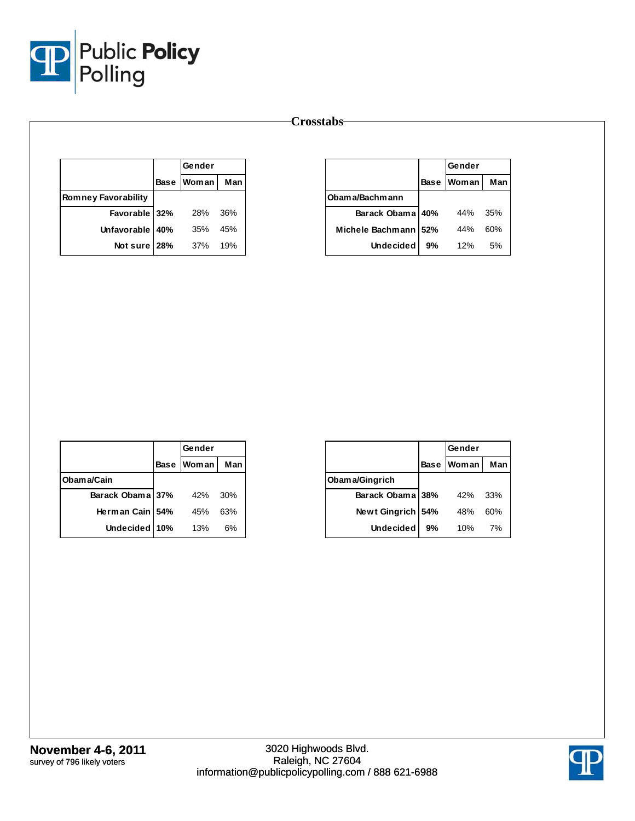

|                            | Gender            |     |
|----------------------------|-------------------|-----|
|                            | <b>Base Woman</b> | Man |
| <b>Romney Favorability</b> |                   |     |
| Favorable 32%              | 28%               | 36% |
| Unfavorable 40%            | 35%               | 45% |
| Not sure 28%               | -37%              | 19% |

|                  |             | Gender       |     |  |
|------------------|-------------|--------------|-----|--|
|                  | <b>Base</b> | <b>Woman</b> | Man |  |
| Obam a/Bachm ann |             |              |     |  |
| Barack Obama 40% |             | 44%          | 35% |  |
| Michele Bachmann | 52%         | 44%          | 60% |  |
| <b>Undecided</b> | 9%          | 12%          | 5%  |  |

|                  | Gender       |     |
|------------------|--------------|-----|
|                  | Base   Woman | Man |
| Obama/Cain       |              |     |
| Barack Obama 37% | 42%          | 30% |
| Herman Cain 154% | 45%          | 63% |
| Undecided 10%    | 13%          | 6%  |

|                     | Gender      |              |     |
|---------------------|-------------|--------------|-----|
|                     | <b>Base</b> | <b>Woman</b> | Man |
| Obama/Gingrich      |             |              |     |
| Barack Obama 38%    |             | 42%          | 33% |
| Newt Gingrich   54% |             | 48%          | 60% |
| <b>Undecided</b>    | 9%          | 10%          | 7%  |

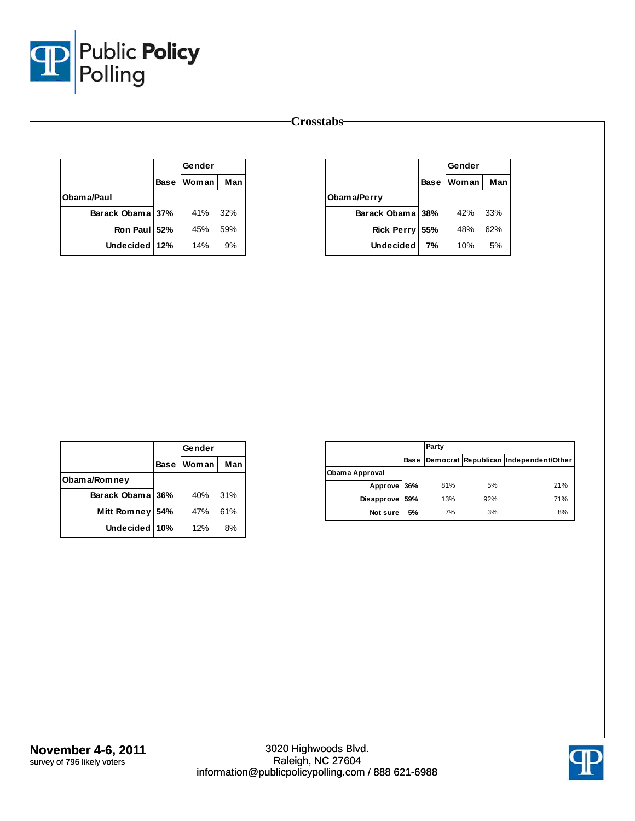

|                  | <b>Gender</b> |      |
|------------------|---------------|------|
|                  | Base   Woman  | Man  |
| Obam a/Paul      |               |      |
| Barack Obama 37% | 41%           | -32% |
| Ron Paul 52%     | 45%           | 59%  |
| Undecided 12%    | 14%           | 9%   |

|                  | Gender |                   |     |
|------------------|--------|-------------------|-----|
|                  |        | <b>Base Woman</b> | Man |
| Obama/Perry      |        |                   |     |
| Barack Obama 38% |        | 42%               | 33% |
| Rick Perry 55%   |        | 48%               | 62% |
| <b>Undecided</b> | 7%     | 10%               | 5%  |

|                    |     | Gender     |     |
|--------------------|-----|------------|-----|
|                    |     | Base Woman | Man |
| Obama/Romney       |     |            |     |
| Barack Obama 36%   |     | 40%        | 31% |
| <b>Mitt Romney</b> | 54% | 47%        | 61% |
| Undecided 10%      |     | 12%        | 8%  |

|                |      | Party |     |                                       |  |  |
|----------------|------|-------|-----|---------------------------------------|--|--|
|                | Base |       |     | Democrat Republican Independent/Other |  |  |
| Obama Approval |      |       |     |                                       |  |  |
| Approve 36%    |      | 81%   | 5%  | 21%                                   |  |  |
| Disapprove 59% |      | 13%   | 92% | 71%                                   |  |  |
| Not sure       | 5%   | 7%    | 3%  | 8%                                    |  |  |

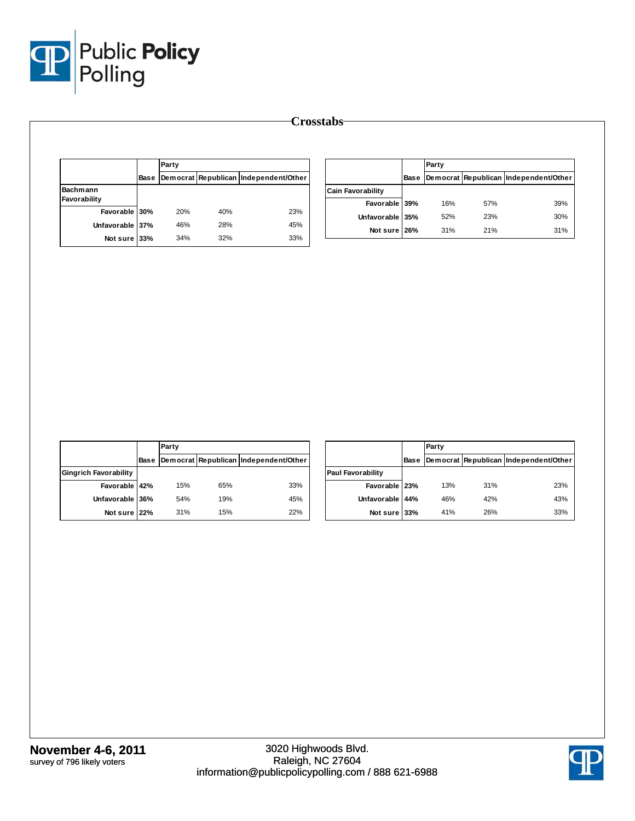

|                          |                                       |     | Party |             |                 |
|--------------------------|---------------------------------------|-----|-------|-------------|-----------------|
| <b>Bas</b>               | Democrat Republican Independent/Other |     |       | <b>Base</b> |                 |
| <b>Cain Favorability</b> |                                       |     |       |             | Bachmann        |
| Favorable 39             |                                       |     |       |             | Favorability    |
| Unfavorable 35           | 23%                                   | 40% | 20%   |             | Favorable 30%   |
|                          | 45%                                   | 28% | 46%   |             | Unfavorable 37% |
| Not sure 26              | 33%                                   | 32% | 34%   |             | Not sure 33%    |

|                          |             | Party |     |                                       |  |  |
|--------------------------|-------------|-------|-----|---------------------------------------|--|--|
|                          | <b>Base</b> |       |     | Democrat Republican Independent/Other |  |  |
| <b>Cain Favorability</b> |             |       |     |                                       |  |  |
| Favorable 39%            |             | 16%   | 57% | 39%                                   |  |  |
| Unfavorable 35%          |             | 52%   | 23% | 30%                                   |  |  |
| Not sure 26%             |             | 31%   | 21% | 31%                                   |  |  |

|                              |      | Party |     |                                       |  |  |
|------------------------------|------|-------|-----|---------------------------------------|--|--|
|                              | Base |       |     | Democrat Republican Independent/Other |  |  |
| <b>Gingrich Favorability</b> |      |       |     |                                       |  |  |
| Favorable 42%                |      | 15%   | 65% | 33%                                   |  |  |
| Unfavorable 36%              |      | 54%   | 19% | 45%                                   |  |  |
| Not sure 22%                 |      | 31%   | 15% | 22%                                   |  |  |

|                          |      | Party |     |                                       |
|--------------------------|------|-------|-----|---------------------------------------|
|                          | Base |       |     | Democrat Republican Independent/Other |
| <b>Paul Favorability</b> |      |       |     |                                       |
| Favorable 23%            |      | 13%   | 31% | 23%                                   |
| Unfavorable 44%          |      | 46%   | 42% | 43%                                   |
| Not sure 33%             |      | 41%   | 26% | 33%                                   |

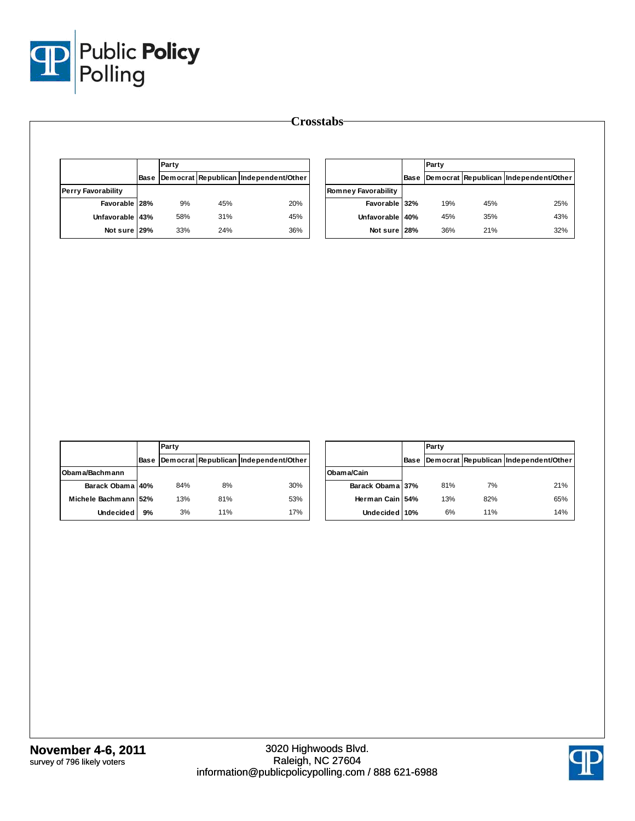

|                           | Party |     |                                            |                            | Party |     |                                            |
|---------------------------|-------|-----|--------------------------------------------|----------------------------|-------|-----|--------------------------------------------|
|                           |       |     | Base Democrat Republican Independent/Other |                            |       |     | Base Democrat Republican Independent/Other |
| <b>Perry Favorability</b> |       |     |                                            | <b>Romney Favorability</b> |       |     |                                            |
| Favorable 28%             | 9%    | 45% | 20%                                        | Favorable 32%              | 19%   | 45% | 25%                                        |
| Unfavorable 43%           | 58%   | 31% | 45%                                        | Unfavorable 40%            | 45%   | 35% | 43%                                        |
| Not sure 29%              | 33%   | 24% | 36%                                        | Not sure 28%               | 36%   | 21% | 32%                                        |

|                      |             | Party |     |                                       |
|----------------------|-------------|-------|-----|---------------------------------------|
|                      | <b>Base</b> |       |     | Democrat Republican Independent/Other |
| Obama/Bachmann       |             |       |     |                                       |
| Barack Obama 40%     |             | 84%   | 8%  | 30%                                   |
| Michele Bachmann 52% |             | 13%   | 81% | 53%                                   |
| <b>Undecided</b>     | 9%          | 3%    | 11% | 17%                                   |

|                  |      | Party |     |                                       |
|------------------|------|-------|-----|---------------------------------------|
|                  | Base |       |     | Democrat Republican Independent/Other |
| Obama/Cain       |      |       |     |                                       |
| Barack Obama 37% |      | 81%   | 7%  | 21%                                   |
| Herman Cain 154% |      | 13%   | 82% | 65%                                   |
| Undecided 10%    |      | 6%    | 11% | 14%                                   |

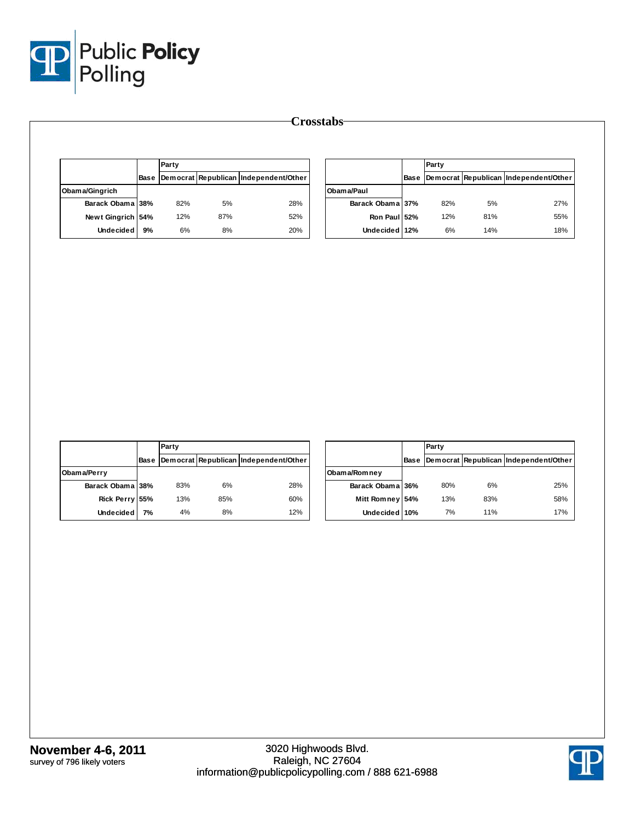

|                   |    | Party |     |                                            |                  | Party |     |                                            |
|-------------------|----|-------|-----|--------------------------------------------|------------------|-------|-----|--------------------------------------------|
|                   |    |       |     | Base Democrat Republican Independent/Other |                  |       |     | Base Democrat Republican Independent/Other |
| Obama/Gingrich    |    |       |     |                                            | Obama/Paul       |       |     |                                            |
| Barack Obama 38%  |    | 82%   | 5%  | 28%                                        | Barack Obama 37% | 82%   | 5%  | 27%                                        |
| Newt Gingrich 54% |    | 12%   | 87% | 52%                                        | Ron Paul 52%     | 12%   | 81% | 55%                                        |
| <b>Undecided</b>  | 9% | 6%    | 8%  | 20%                                        | Undecided 12%    | 6%    | 14% | 18%                                        |

|                  |      | Party |     |                                       |
|------------------|------|-------|-----|---------------------------------------|
|                  | Base |       |     | Democrat Republican Independent/Other |
| Obama/Perry      |      |       |     |                                       |
| Barack Obama 38% |      | 83%   | 6%  | 28%                                   |
| Rick Perry 55%   |      | 13%   | 85% | 60%                                   |
| <b>Undecided</b> | 7%   | 4%    | 8%  | 12%                                   |

|                    |      | Party |     |                                       |
|--------------------|------|-------|-----|---------------------------------------|
|                    | Base |       |     | Democrat Republican Independent/Other |
| Obama/Romney       |      |       |     |                                       |
| Barack Obama 36%   |      | 80%   | 6%  | 25%                                   |
| <b>Mitt Romney</b> | 54%  | 13%   | 83% | 58%                                   |
| Undecided 10%      |      | 7%    | 11% | 17%                                   |

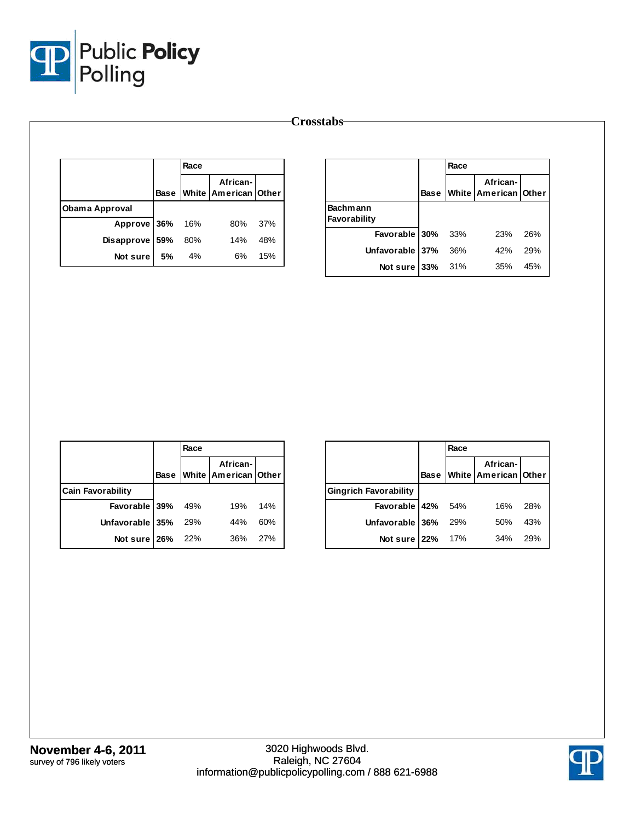

|                       |             |      |                                      |     | <b>Crosstabs</b> |      |                                              |     |
|-----------------------|-------------|------|--------------------------------------|-----|------------------|------|----------------------------------------------|-----|
|                       |             | Race |                                      |     |                  | Race |                                              |     |
|                       | <b>Base</b> |      | African-<br>White   American   Other |     |                  |      | African-<br><b>Base White American Other</b> |     |
| <b>Obama Approval</b> |             |      |                                      |     | <b>Bachmann</b>  |      |                                              |     |
| Approve               | 36%         | 16%  | 80%                                  | 37% | Favorability     |      |                                              |     |
| <b>Disapprove</b>     | 59%         | 80%  | 14%                                  | 48% | Favorable 30%    | 33%  | 23%                                          | 26% |
| Not sure              | 5%          | 4%   | 6%                                   | 15% | Unfavorable 37%  | 36%  | 42%                                          | 29% |
|                       |             |      |                                      |     | Not sure $33%$   | 31%  | 35%                                          | 45% |

|                          |             | Race |                                  |     |
|--------------------------|-------------|------|----------------------------------|-----|
|                          | <b>Base</b> |      | African-<br>White American Other |     |
| <b>Cain Favorability</b> |             |      |                                  |     |
| Favorable 39%            |             | 49%  | 19%                              | 14% |
| Unfavorable 35%          |             | 29%  | 44%                              | 60% |
| Not sure 26%             |             | 22%  | 36%                              | 27% |

|                              |             | Race       |                                  |     |
|------------------------------|-------------|------------|----------------------------------|-----|
|                              | <b>Base</b> |            | African-<br>White American Other |     |
| <b>Gingrich Favorability</b> |             |            |                                  |     |
| Favorable $42\%$ 54%         |             |            | 16%                              | 28% |
| Unfavorable 36%              |             | <b>29%</b> | 50%                              | 43% |
| Not sure 22%                 |             | 17%        | 34%                              | 29% |

3020 Highwoods Blvd. Raleigh, NC 27604

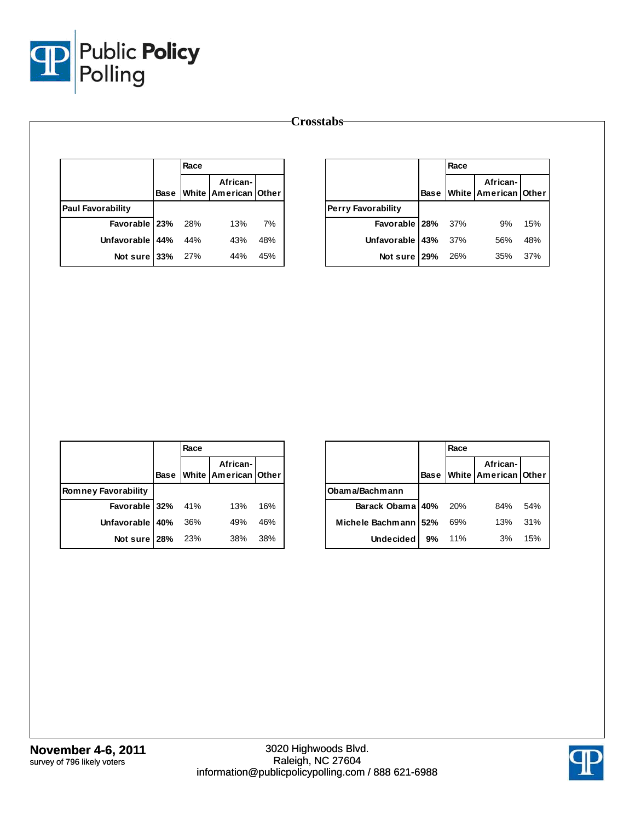

|                          |  | Race |                                       |     |                           |     | Race |                                             |     |
|--------------------------|--|------|---------------------------------------|-----|---------------------------|-----|------|---------------------------------------------|-----|
|                          |  |      | African-<br>Base White American Other |     |                           |     |      | African-<br>Base   White   American   Other |     |
| <b>Paul Favorability</b> |  |      |                                       |     | <b>Perry Favorability</b> |     |      |                                             |     |
| Favorable 23%            |  | 28%  | 13%                                   | 7%  | Favorable                 | 28% | 37%  | 9%                                          | 15% |
| Unfavorable   44%        |  | 44%  | 43%                                   | 48% | Unfavorable               | 43% | 37%  | 56%                                         | 48% |
| Not sure $33%$           |  | 27%  | 44%                                   | 45% | Not sure                  | 29% | 26%  | 35%                                         | 37% |

|                            |             | Race  |                                  |     |
|----------------------------|-------------|-------|----------------------------------|-----|
|                            | <b>Base</b> |       | African-<br>White American Other |     |
| <b>Romney Favorability</b> |             |       |                                  |     |
| Favorable $32\%$ 41%       |             |       | 13%                              | 16% |
| Unfavorable   40%          |             | 36%   | 49%                              | 46% |
| Not sure 28%               |             | - 23% | 38%                              | 38% |

|                        |             | Race |                                  |     |  |  |  |  |
|------------------------|-------------|------|----------------------------------|-----|--|--|--|--|
|                        | <b>Base</b> |      | African-<br>White American Other |     |  |  |  |  |
| Obama/Bachmann         |             |      |                                  |     |  |  |  |  |
| Barack Obama 40%       |             | 20%  | 84%                              | 54% |  |  |  |  |
| Michele Bachmann   52% |             | 69%  | 13%                              | 31% |  |  |  |  |
| <b>Undecided</b>       | 9%          | 11%  | 3%                               | 15% |  |  |  |  |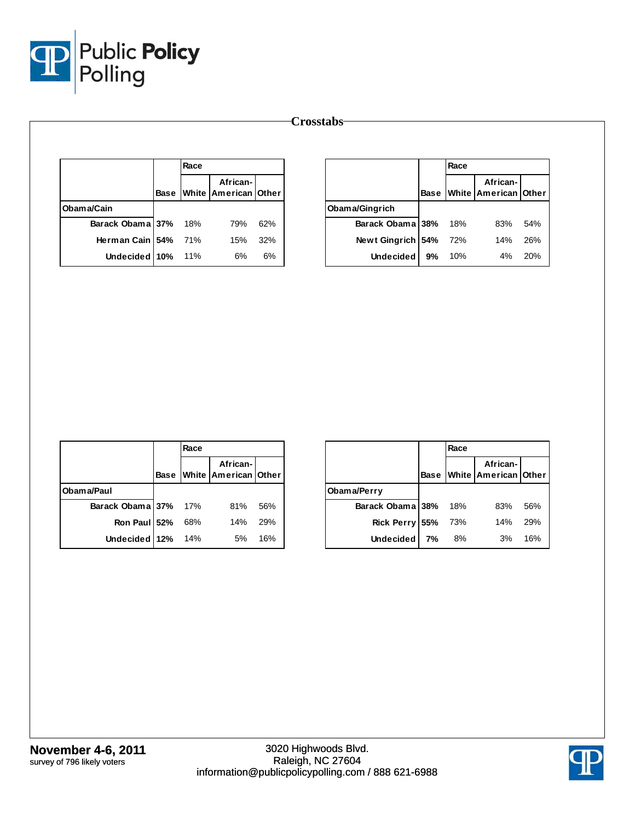

|                  |      | Race |                                  |     |                  |     | Race |                                              |     |
|------------------|------|------|----------------------------------|-----|------------------|-----|------|----------------------------------------------|-----|
|                  | Base |      | African-<br>White American Other |     |                  |     |      | African-<br><b>Base White American Other</b> |     |
| Obama/Cain       |      |      |                                  |     | Obama/Gingrich   |     |      |                                              |     |
| Barack Obama 37% |      | 18%  | 79%                              | 62% | Barack Obama 38% |     | 18%  | 83%                                          | 54% |
| Herman Cain 54%  |      | 71%  | 15%                              | 32% | Newt Gingrich    | 54% | 72%  | 14%                                          | 26% |
| Undecided 10%    |      | 11%  | 6%                               | 6%  | <b>Undecided</b> | 9%  | 10%  | 4%                                           | 20% |

|                      |             | Race |                                  |     |
|----------------------|-------------|------|----------------------------------|-----|
|                      | <b>Base</b> |      | African-<br>White American Other |     |
| Obama/Paul           |             |      |                                  |     |
| Barack Obama 37% 17% |             |      | 81%                              | 56% |
| Ron Paul 52%         |             | 68%  | 14%                              | 29% |
| Undecided 12%        |             | 14%  | 5%                               | 16% |

|                  |             | Race |                                         |     |
|------------------|-------------|------|-----------------------------------------|-----|
|                  | <b>Base</b> |      | African-<br><b>White American Other</b> |     |
| Obama/Perry      |             |      |                                         |     |
| Barack Obama 38% |             | 18%  | 83%                                     | 56% |
| Rick Perry 55%   |             | 73%  | 14%                                     | 29% |
| <b>Undecided</b> | 7%          | 8%   | 3%                                      | 16% |

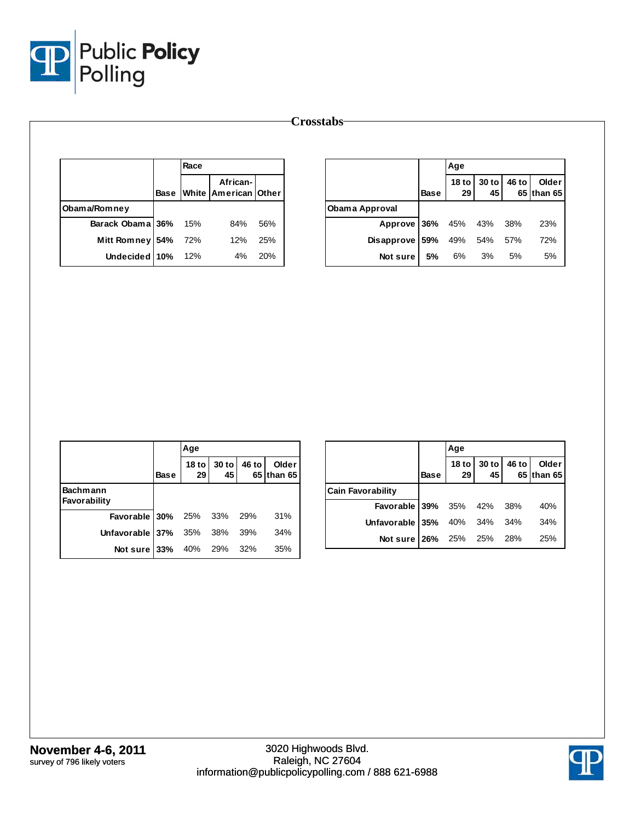

|                  |             | Race |                                  |     |                |             | Age                    |             |       |                     |
|------------------|-------------|------|----------------------------------|-----|----------------|-------------|------------------------|-------------|-------|---------------------|
|                  | <b>Base</b> |      | African-<br>White American Other |     |                | <b>Base</b> | 18 <sub>to</sub><br>29 | 30 to<br>45 | 46 to | Older<br>65 than 65 |
| Obama/Romney     |             |      |                                  |     | Obama Approval |             |                        |             |       |                     |
| Barack Obama 36% |             | 15%  | 84%                              | 56% | Approve 36%    |             | 45%                    | 43%         | 38%   | 23%                 |
| Mitt Romney 54%  |             | 72%  | 12%                              | 25% | Disapprove 59% |             | 49%                    | 54%         | 57%   | 72%                 |
| Undecided 10%    |             | 12%  | 4%                               | 20% | Not sure       | 5%          | 6%                     | 3%          | 5%    | 5%                  |

|                                  |             | Age                 |               |       |                            |
|----------------------------------|-------------|---------------------|---------------|-------|----------------------------|
|                                  | <b>Base</b> | 18 to $\vert$<br>29 | $30$ to<br>45 | 46 to | <b>Older</b><br>65 than 65 |
| <b>Bachmann</b><br>Favorability  |             |                     |               |       |                            |
| <b>Favorable 30%</b> 25% 33% 29% |             |                     |               |       | 31%                        |
| Unfavorable 37% $35\%$ 38%       |             |                     |               | 39%   | 34%                        |
| Not sure 33% 40% 29% 32%         |             |                     |               |       | 35%                        |

|                             |             | Age |                         |                     |
|-----------------------------|-------------|-----|-------------------------|---------------------|
|                             | <b>Base</b> | 29  | 18 to 30 to 46 to<br>45 | Older<br>65 than 65 |
| <b>Cain Favorability</b>    |             |     |                         |                     |
| Favorable 39% 35% 42% 38%   |             |     |                         | 40%                 |
| Unfavorable 35% 40% 34% 34% |             |     |                         | 34%                 |
| Not sure 26% 25% 25% 28%    |             |     |                         | 25%                 |

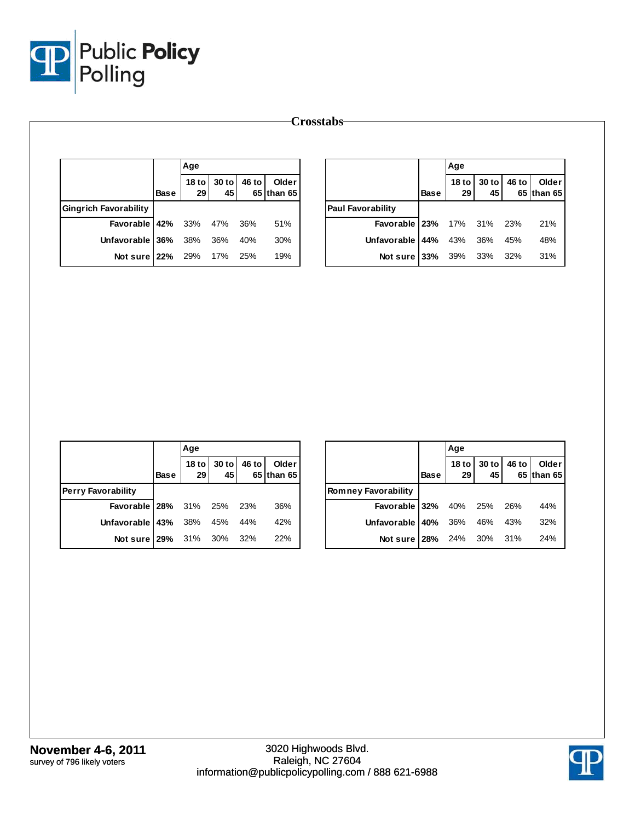

|                              |             | Age |                         |     |                     |                          |             | Age                    |             |       |                     |
|------------------------------|-------------|-----|-------------------------|-----|---------------------|--------------------------|-------------|------------------------|-------------|-------|---------------------|
|                              | <b>Base</b> | 29  | 18 to 30 to 46 to<br>45 |     | Older<br>65 than 65 |                          | <b>Base</b> | 18 <sub>to</sub><br>29 | 30 to<br>45 | 46 to | Older<br>65 than 65 |
| <b>Gingrich Favorability</b> |             |     |                         |     |                     | <b>Paul Favorability</b> |             |                        |             |       |                     |
| Favorable 42%                |             | 33% | 47%                     | 36% | 51%                 | Favorable   23%          |             | 17%                    | 31%         | 23%   | 21%                 |
| Unfavorable 36%              |             | 38% | 36%                     | 40% | 30%                 | Unfavorable 44%          |             | 43%                    | 36%         | 45%   | 48%                 |
| Not sure $22%$               |             | 29% | 17%                     | 25% | 19%                 | Not sure $33%$           |             | 39%                    | 33%         | 32%   | 31%                 |

|                                  |      | Age |                                                 |                     |
|----------------------------------|------|-----|-------------------------------------------------|---------------------|
|                                  | Base | 29  | 18 to $\vert$ 30 to $\vert$ 46 to $\vert$<br>45 | Older<br>65 than 65 |
| <b>Perry Favorability</b>        |      |     |                                                 |                     |
| <b>Favorable 28%</b> 31% 25% 23% |      |     |                                                 | 36%                 |
| Unfavorable 43% 38% 45% 44%      |      |     |                                                 | 42%                 |
| Not sure 29% 31% 30% 32%         |      |     |                                                 | 22%                 |

|                                  |             | Age |                                                                                          |       |                     |
|----------------------------------|-------------|-----|------------------------------------------------------------------------------------------|-------|---------------------|
|                                  | <b>Base</b> |     | $\begin{array}{ c c }\n 18 \text{ to} & 30 \text{ to} \\ \hline\n 29 & 45\n \end{array}$ | 46 to | Older<br>65 than 65 |
| <b>Romney Favorability</b>       |             |     |                                                                                          |       |                     |
| <b>Favorable 32%</b> 40% 25% 26% |             |     |                                                                                          |       | 44%                 |
| Unfavorable 40% 36% 46% 43%      |             |     |                                                                                          |       | 32%                 |
| Not sure 28% 24% 30% 31%         |             |     |                                                                                          |       | 24%                 |

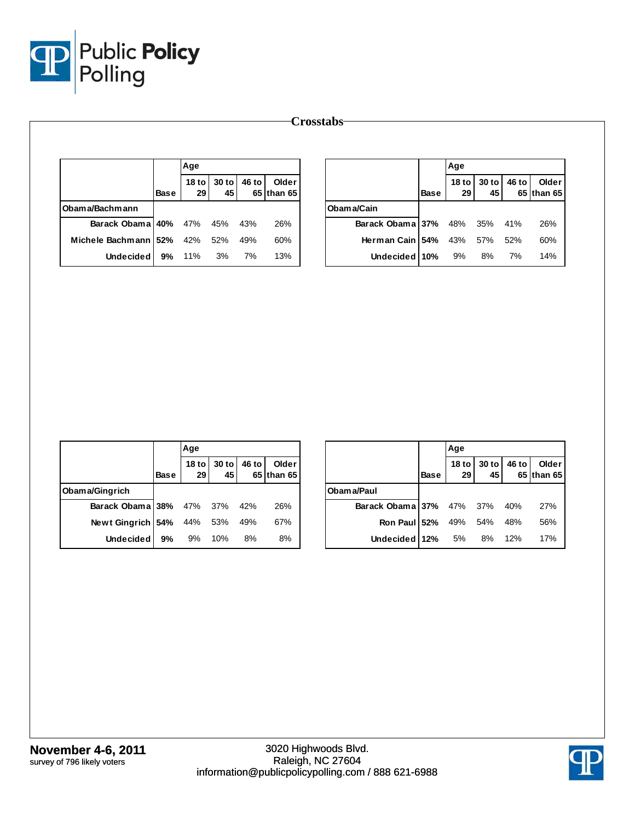

|                      |             | Age |                   |       |                       |                  |      | Age                    |             |       |                     |
|----------------------|-------------|-----|-------------------|-------|-----------------------|------------------|------|------------------------|-------------|-------|---------------------|
|                      | <b>Base</b> | 29  | 18 to 30 to<br>45 | 46 to | Older<br>$65$ than 65 |                  | Base | 18 <sub>to</sub><br>29 | 30 to<br>45 | 46 to | Older<br>65 than 65 |
| Obama/Bachmann       |             |     |                   |       |                       | Obama/Cain       |      |                        |             |       |                     |
| Barack Obama 40%     |             | 47% | 45%               | 43%   | 26%                   | Barack Obama 37% |      | 48%                    | 35%         | 41%   | 26%                 |
| Michele Bachmann 52% |             | 42% | 52%               | 49%   | 60%                   | Herman Cain 54%  |      | 43%                    | 57%         | 52%   | 60%                 |
| <b>Undecided</b>     | 9%          | 11% | 3%                | 7%    | 13%                   | Undecided 10%    |      | 9%                     | 8%          | 7%    | 14%                 |

|                                  |             | Age |                   |       |                     |
|----------------------------------|-------------|-----|-------------------|-------|---------------------|
|                                  | <b>Base</b> | 29  | 18 to 30 to<br>45 | 46 to | Older<br>65 than 65 |
| Obama/Gingrich                   |             |     |                   |       |                     |
| Barack Obama 38% 47% 37%         |             |     |                   | 42%   | 26%                 |
| <b>Newt Gingrich 54%</b> 44% 53% |             |     |                   | 49%   | 67%                 |
| <b>Undecided</b>                 | 9%          | 9%  | 10%               | 8%    | 8%                  |

|                              |      | Age                             |              |       |                     |  |  |  |
|------------------------------|------|---------------------------------|--------------|-------|---------------------|--|--|--|
|                              | Base | <b>18 to</b><br>29 <sub>1</sub> | $30$ to $45$ | 46 to | Older<br>65 than 65 |  |  |  |
| Obam a/Paul                  |      |                                 |              |       |                     |  |  |  |
| Barack Obama 37% 47% 37% 40% |      |                                 |              |       | 27%                 |  |  |  |
| Ron Paul 52%                 |      | 49% 54% 48%                     |              |       | 56%                 |  |  |  |
| Undecided 12% 5% 8% 12%      |      |                                 |              |       | 17%                 |  |  |  |